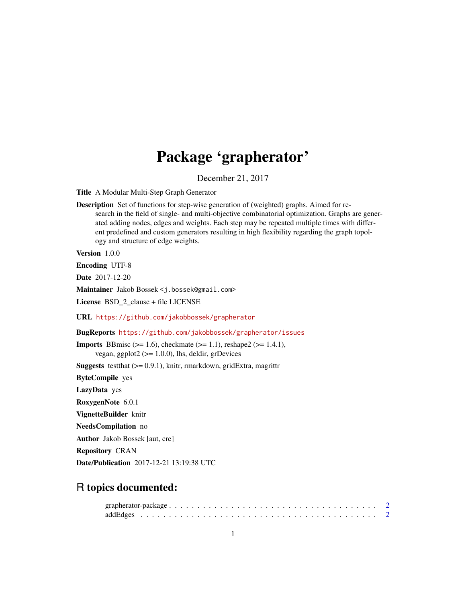# Package 'grapherator'

December 21, 2017

<span id="page-0-0"></span>Title A Modular Multi-Step Graph Generator

Description Set of functions for step-wise generation of (weighted) graphs. Aimed for research in the field of single- and multi-objective combinatorial optimization. Graphs are generated adding nodes, edges and weights. Each step may be repeated multiple times with different predefined and custom generators resulting in high flexibility regarding the graph topology and structure of edge weights.

Version 1.0.0

Encoding UTF-8

Date 2017-12-20

Maintainer Jakob Bossek <j.bossek@gmail.com>

License BSD\_2\_clause + file LICENSE

URL <https://github.com/jakobbossek/grapherator>

BugReports <https://github.com/jakobbossek/grapherator/issues>

**Imports** BBmisc ( $> = 1.6$ ), checkmate ( $> = 1.1$ ), reshape2 ( $> = 1.4.1$ ), vegan, ggplot $2$  ( $>= 1.0.0$ ), lhs, deldir, grDevices

**Suggests** test that  $(>= 0.9.1)$ , knitr, rmarkdown, gridExtra, magrittr

ByteCompile yes

LazyData yes

RoxygenNote 6.0.1

VignetteBuilder knitr

NeedsCompilation no

Author Jakob Bossek [aut, cre]

Repository CRAN

Date/Publication 2017-12-21 13:19:38 UTC

# R topics documented: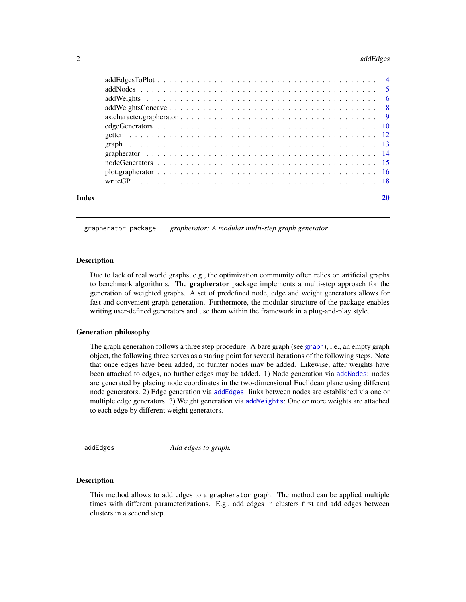#### <span id="page-1-0"></span>2 addEdges and 2 and 2 and 2 and 2 and 2 and 2 and 2 and 2 and 2 and 2 and 2 and 2 and 2 and 2 and 2 and 2 and 2 and 2 and 2 and 2 and 2 and 2 and 2 and 2 and 2 and 2 and 2 and 2 and 2 and 2 and 2 and 2 and 2 and 2 and 2 a

| Index |  |  |  |  |  |  |  |  |  |  |  |  |  |  |  | 20 |
|-------|--|--|--|--|--|--|--|--|--|--|--|--|--|--|--|----|
|       |  |  |  |  |  |  |  |  |  |  |  |  |  |  |  |    |
|       |  |  |  |  |  |  |  |  |  |  |  |  |  |  |  |    |
|       |  |  |  |  |  |  |  |  |  |  |  |  |  |  |  |    |
|       |  |  |  |  |  |  |  |  |  |  |  |  |  |  |  |    |
|       |  |  |  |  |  |  |  |  |  |  |  |  |  |  |  |    |
|       |  |  |  |  |  |  |  |  |  |  |  |  |  |  |  |    |
|       |  |  |  |  |  |  |  |  |  |  |  |  |  |  |  |    |
|       |  |  |  |  |  |  |  |  |  |  |  |  |  |  |  |    |
|       |  |  |  |  |  |  |  |  |  |  |  |  |  |  |  |    |
|       |  |  |  |  |  |  |  |  |  |  |  |  |  |  |  |    |
|       |  |  |  |  |  |  |  |  |  |  |  |  |  |  |  |    |
|       |  |  |  |  |  |  |  |  |  |  |  |  |  |  |  |    |

#### grapherator-package *grapherator: A modular multi-step graph generator*

#### **Description**

Due to lack of real world graphs, e.g., the optimization community often relies on artificial graphs to benchmark algorithms. The grapherator package implements a multi-step approach for the generation of weighted graphs. A set of predefined node, edge and weight generators allows for fast and convenient graph generation. Furthermore, the modular structure of the package enables writing user-defined generators and use them within the framework in a plug-and-play style.

## Generation philosophy

The graph generation follows a three step procedure. A bare graph (see [graph](#page-12-1)), i.e., an empty graph object, the following three serves as a staring point for several iterations of the following steps. Note that once edges have been added, no furhter nodes may be added. Likewise, after weights have been attached to edges, no further edges may be added. 1) Node generation via [addNodes](#page-4-1): nodes are generated by placing node coordinates in the two-dimensional Euclidean plane using different node generators. 2) Edge generation via [addEdges](#page-1-1): links between nodes are established via one or multiple edge generators. 3) Weight generation via [addWeights](#page-5-1): One or more weights are attached to each edge by different weight generators.

<span id="page-1-1"></span>addEdges *Add edges to graph.*

#### Description

This method allows to add edges to a grapherator graph. The method can be applied multiple times with different parameterizations. E.g., add edges in clusters first and add edges between clusters in a second step.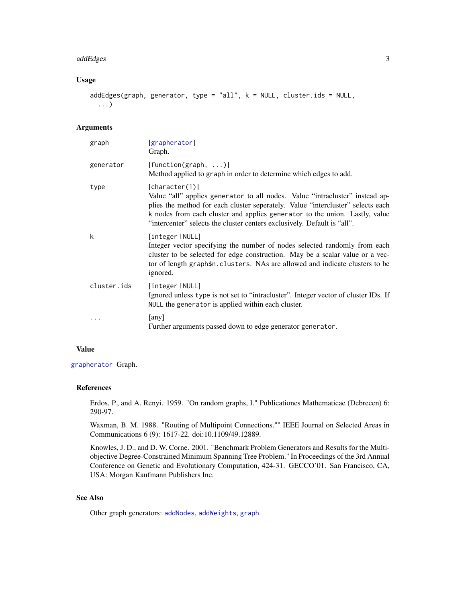#### <span id="page-2-0"></span>addEdges 3

# Usage

```
addEdges(graph, generator, type = "all", k = NULL, cluster.ids = NULL,
  ...)
```
# Arguments

| graph       | [grapherator]<br>Graph.                                                                                                                                                                                                                                                                                                                      |
|-------------|----------------------------------------------------------------------------------------------------------------------------------------------------------------------------------------------------------------------------------------------------------------------------------------------------------------------------------------------|
| generator   | $[function(graph, \ldots)]$<br>Method applied to graph in order to determine which edges to add.                                                                                                                                                                                                                                             |
| type        | [character(1)]<br>Value "all" applies generator to all nodes. Value "intracluster" instead ap-<br>plies the method for each cluster seperately. Value "intercluster" selects each<br>k nodes from each cluster and applies generator to the union. Lastly, value<br>"intercenter" selects the cluster centers exclusively. Default is "all". |
| k           | [integer   NULL]<br>Integer vector specifying the number of nodes selected randomly from each<br>cluster to be selected for edge construction. May be a scalar value or a vec-<br>tor of length graph\$n. clusters. NAs are allowed and indicate clusters to be<br>ignored.                                                                  |
| cluster.ids | [integer   NULL]<br>Ignored unless type is not set to "intracluster". Integer vector of cluster IDs. If<br>NULL the generator is applied within each cluster.                                                                                                                                                                                |
| .           | [any]<br>Further arguments passed down to edge generator generator.                                                                                                                                                                                                                                                                          |

#### Value

[grapherator](#page-13-1) Graph.

# References

Erdos, P., and A. Renyi. 1959. "On random graphs, I." Publicationes Mathematicae (Debrecen) 6: 290-97.

Waxman, B. M. 1988. "Routing of Multipoint Connections."" IEEE Journal on Selected Areas in Communications 6 (9): 1617-22. doi:10.1109/49.12889.

Knowles, J. D., and D. W. Corne. 2001. "Benchmark Problem Generators and Results for the Multiobjective Degree-Constrained Minimum Spanning Tree Problem." In Proceedings of the 3rd Annual Conference on Genetic and Evolutionary Computation, 424-31. GECCO'01. San Francisco, CA, USA: Morgan Kaufmann Publishers Inc.

# See Also

Other graph generators: [addNodes](#page-4-1), [addWeights](#page-5-1), [graph](#page-12-1)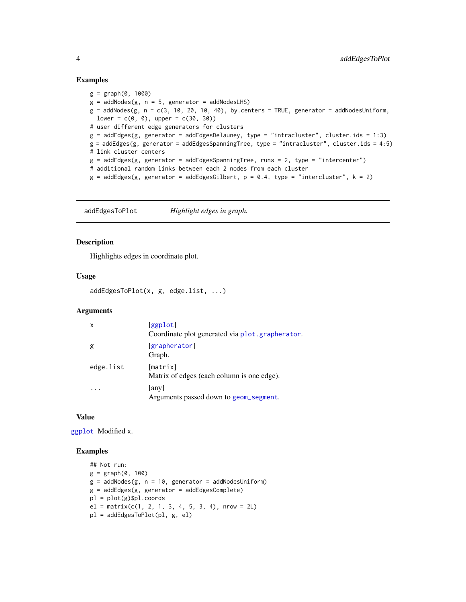## Examples

```
g = graph(0, 1000)g = addNodes(g, n = 5, generator = addNodesLHS)g = addNodes(g, n = c(3, 10, 20, 10, 40), by centers = TRUE, generator = addNodesUniform,lower = c(0, 0), upper = c(30, 30))# user different edge generators for clusters
g = addEdges(g, generator = addEdgesDelauney, type = "intracluster", cluster.ids = 1:3)
g = addEdges(g, generator = addEdgesSpanningTree, type = "intracluster", cluster.ids = 4:5)
# link cluster centers
g = addEdges(g, generator = addEdgesSpanningTree, runs = 2, type = "intercenter")# additional random links between each 2 nodes from each cluster
g = addEdges(g, generator = addEdgesGilbert, p = 0.4, type = "intercluster", k = 2)
```
addEdgesToPlot *Highlight edges in graph.*

# Description

Highlights edges in coordinate plot.

## Usage

```
addEdgesToPlot(x, g, edge.list, ...)
```
# Arguments

| x         | [ggplot]<br>Coordinate plot generated via plot.grapherator. |
|-----------|-------------------------------------------------------------|
| g         | [grapherator]<br>Graph.                                     |
| edge.list | [matrix]<br>Matrix of edges (each column is one edge).      |
|           | [any]<br>Arguments passed down to geom_segment.             |

#### Value

[ggplot](#page-0-0) Modified x.

# Examples

```
## Not run:
g = graph(0, 100)g = addNodes(g, n = 10, generator = addNodesUniform)g = addEdges(g, generator = addEdgesComplete)
pl = plot(g)$pl.coords
el = matrix(c(1, 2, 1, 3, 4, 5, 3, 4), nrow = 2L)pl = addEdgesToPlot(pl, g, el)
```
<span id="page-3-0"></span>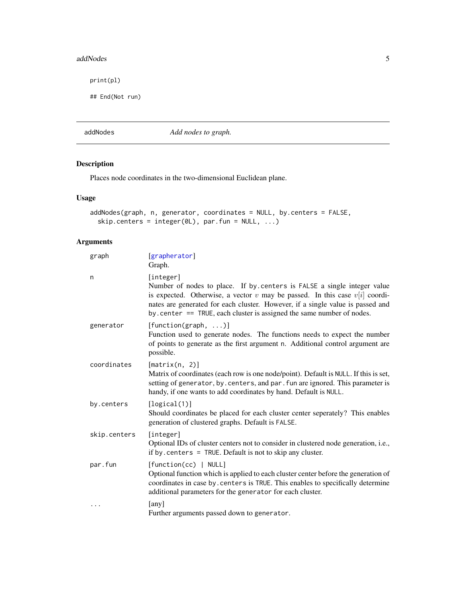#### <span id="page-4-0"></span>addNodes 5

print(pl)

## End(Not run)

<span id="page-4-1"></span>addNodes *Add nodes to graph.*

# Description

Places node coordinates in the two-dimensional Euclidean plane.

# Usage

```
addNodes(graph, n, generator, coordinates = NULL, by.centers = FALSE,
  skip. centers = integer(@L), par.fun = NULL, ...)
```

| graph        | [grapherator]<br>Graph.                                                                                                                                                                                                                                                                                                               |
|--------------|---------------------------------------------------------------------------------------------------------------------------------------------------------------------------------------------------------------------------------------------------------------------------------------------------------------------------------------|
| n            | [integer]<br>Number of nodes to place. If by centers is FALSE a single integer value<br>is expected. Otherwise, a vector $v$ may be passed. In this case $v[i]$ coordi-<br>nates are generated for each cluster. However, if a single value is passed and<br>by. center $==$ TRUE, each cluster is assigned the same number of nodes. |
| generator    | $[function(graph, \ldots)]$<br>Function used to generate nodes. The functions needs to expect the number<br>of points to generate as the first argument n. Additional control argument are<br>possible.                                                                                                                               |
| coordinates  | [matrix(n, 2)]<br>Matrix of coordinates (each row is one node/point). Default is NULL. If this is set,<br>setting of generator, by. centers, and par. fun are ignored. This parameter is<br>handy, if one wants to add coordinates by hand. Default is NULL.                                                                          |
| by.centers   | [logical(1)]<br>Should coordinates be placed for each cluster center seperately? This enables<br>generation of clustered graphs. Default is FALSE.                                                                                                                                                                                    |
| skip.centers | [integer]<br>Optional IDs of cluster centers not to consider in clustered node generation, i.e.,<br>if by centers $=$ TRUE. Default is not to skip any cluster.                                                                                                                                                                       |
| par.fun      | [function(cc)   NULL]<br>Optional function which is applied to each cluster center before the generation of<br>coordinates in case by. centers is TRUE. This enables to specifically determine<br>additional parameters for the generator for each cluster.                                                                           |
| $\cdots$     | [any]<br>Further arguments passed down to generator.                                                                                                                                                                                                                                                                                  |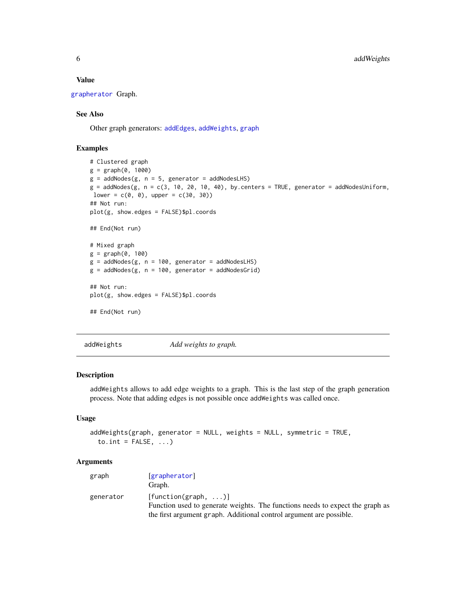#### Value

[grapherator](#page-13-1) Graph.

# See Also

Other graph generators: [addEdges](#page-1-1), [addWeights](#page-5-1), [graph](#page-12-1)

# Examples

```
# Clustered graph
g = graph(0, 1000)g = addNodes(g, n = 5, generator = addNodesLHS)g = addNodes(g, n = c(3, 10, 20, 10, 40), by. centers = TRUE, generator = addNodesUniform,lower = c(0, 0), upper = c(30, 30))## Not run:
plot(g, show.edges = FALSE)$pl.coords
## End(Not run)
# Mixed graph
g = graph(0, 100)g = addNodes(g, n = 100, generator = addNodesLHS)g = addNodes(g, n = 100, generator = addNodesGrid)## Not run:
plot(g, show.edges = FALSE)$pl.coords
## End(Not run)
```
<span id="page-5-1"></span>addWeights *Add weights to graph.*

# Description

addWeights allows to add edge weights to a graph. This is the last step of the graph generation process. Note that adding edges is not possible once addWeights was called once.

# Usage

```
addWeights(graph, generator = NULL, weights = NULL, symmetric = TRUE,
  to.int = FALSE, ...)
```

| graph     | [grapherator]<br>Graph.                                                                                      |
|-----------|--------------------------------------------------------------------------------------------------------------|
| generator | $[function(graph, \ldots)]$<br>Function used to generate weights. The functions needs to expect the graph as |
|           | the first argument graph. Additional control argument are possible.                                          |

<span id="page-5-0"></span>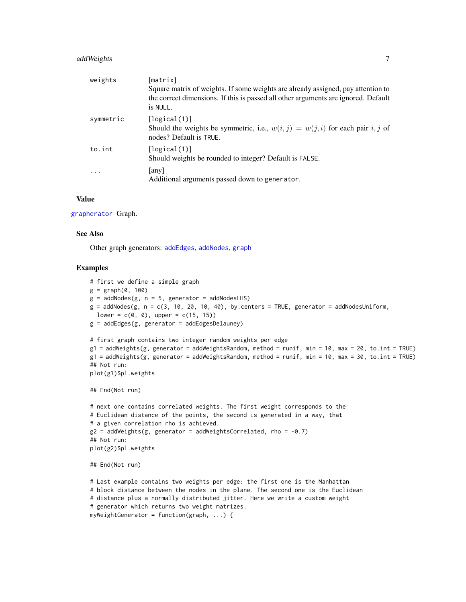# <span id="page-6-0"></span>addWeights 7

| weights   | [matrix]                                                                                                                                                                           |
|-----------|------------------------------------------------------------------------------------------------------------------------------------------------------------------------------------|
|           | Square matrix of weights. If some weights are already assigned, pay attention to<br>the correct dimensions. If this is passed all other arguments are ignored. Default<br>is NULL. |
| symmetric | [logical(1)]<br>Should the weights be symmetric, i.e., $w(i, j) = w(j, i)$ for each pair i, j of<br>nodes? Default is TRUE.                                                        |
| to.int    | [logical(1)]<br>Should weights be rounded to integer? Default is FALSE.                                                                                                            |
| $\ddotsc$ | any<br>Additional arguments passed down to generator.                                                                                                                              |

# Value

#### [grapherator](#page-13-1) Graph.

# See Also

Other graph generators: [addEdges](#page-1-1), [addNodes](#page-4-1), [graph](#page-12-1)

## Examples

```
# first we define a simple graph
g = graph(0, 100)g = addNodes(g, n = 5, generator = addNodesLHS)g = addNodes(g, n = c(3, 10, 20, 10, 40), by. centers = TRUE, generator = addNodesUniform,lower = c(0, 0), upper = c(15, 15)g = addEdges(g, generator = addEdgesDelauney)# first graph contains two integer random weights per edge
g1 = addWeights(g, generator = addWeightsRandom, method = runif, min = 10, max = 20, to.int = TRUE)g1 = addWeights(g, generator = addWeightsRandom, method = runif, min = 10, max = 30, to.int = TRUE)## Not run:
plot(g1)$pl.weights
## End(Not run)
# next one contains correlated weights. The first weight corresponds to the
# Euclidean distance of the points, the second is generated in a way, that
# a given correlation rho is achieved.
g2 = addWeights(g, generator = addWeightsCorrelated, rho = -0.7)## Not run:
plot(g2)$pl.weights
## End(Not run)
# Last example contains two weights per edge: the first one is the Manhattan
# block distance between the nodes in the plane. The second one is the Euclidean
# distance plus a normally distributed jitter. Here we write a custom weight
# generator which returns two weight matrizes.
myWeightGenerator = function(graph, ...) {
```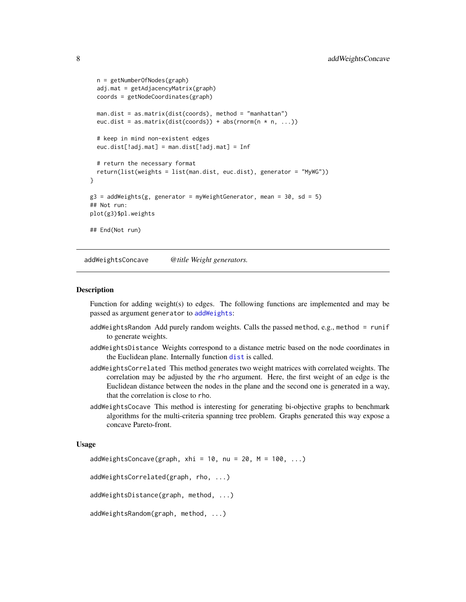```
n = getNumberOfNodes(graph)
 adj.mat = getAdjacencyMatrix(graph)
 coords = getNodeCoordinates(graph)
 man.dist = as.matrix(dist(coords), method = "manhattan")
 euc.dist = as.matrix(dist(coords)) + abs(rnorm(n * n, ...))
 # keep in mind non-existent edges
 euc.dist[!adj.mat] = man.dist[!adj.mat] = Inf
 # return the necessary format
 return(list(weights = list(man.dist, euc.dist), generator = "MyWG"))
}
g3 = addWeights(g, generator = myWeightGenerator, mean = 30, sd = 5)## Not run:
plot(g3)$pl.weights
## End(Not run)
```
addWeightsConcave *@title Weight generators.*

#### Description

Function for adding weight(s) to edges. The following functions are implemented and may be passed as argument generator to [addWeights](#page-5-1):

- addWeightsRandom Add purely random weights. Calls the passed method, e.g., method = runif to generate weights.
- addWeightsDistance Weights correspond to a distance metric based on the node coordinates in the Euclidean plane. Internally function [dist](#page-0-0) is called.
- addWeightsCorrelated This method generates two weight matrices with correlated weights. The correlation may be adjusted by the rho argument. Here, the first weight of an edge is the Euclidean distance between the nodes in the plane and the second one is generated in a way, that the correlation is close to rho.
- addWeightsCocave This method is interesting for generating bi-objective graphs to benchmark algorithms for the multi-criteria spanning tree problem. Graphs generated this way expose a concave Pareto-front.

#### Usage

addWeightsConcave(graph, xhi = 10, nu = 20, M = 100,  $\ldots$ )

addWeightsCorrelated(graph, rho, ...)

addWeightsDistance(graph, method, ...)

```
addWeightsRandom(graph, method, ...)
```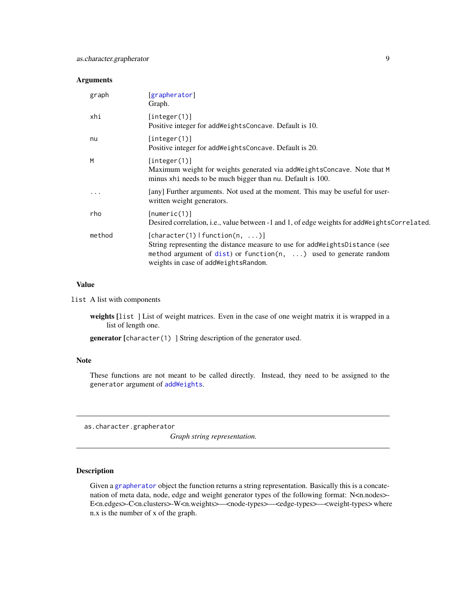# <span id="page-8-0"></span>Arguments

| graph    | [grapherator]<br>Graph.                                                                                                                                                                                                         |
|----------|---------------------------------------------------------------------------------------------------------------------------------------------------------------------------------------------------------------------------------|
| xhi      | [integer(1)]<br>Positive integer for add Weights Concave. Default is 10.                                                                                                                                                        |
| nu       | [integer(1)]<br>Positive integer for addWeightsConcave. Default is 20.                                                                                                                                                          |
| M        | [interer(1)]<br>Maximum weight for weights generated via addWeightsConcave. Note that M<br>minus xhi needs to be much bigger than nu. Default is 100.                                                                           |
| $\cdots$ | [any] Further arguments. Not used at the moment. This may be useful for user-<br>written weight generators.                                                                                                                     |
| rho      | [numeric(1)]<br>Desired correlation, i.e., value between -1 and 1, of edge weights for addWeightsCorrelated.                                                                                                                    |
| method   | [character(1)   function(n, )]<br>String representing the distance measure to use for add Weights Distance (see<br>method argument of $dist$ ) or function(n, ) used to generate random<br>weights in case of addWeightsRandom. |

# Value

list A list with components

weights [list ] List of weight matrices. Even in the case of one weight matrix it is wrapped in a list of length one.

generator [character(1) ] String description of the generator used.

# Note

These functions are not meant to be called directly. Instead, they need to be assigned to the generator argument of [addWeights](#page-5-1).

as.character.grapherator

*Graph string representation.*

# Description

Given a [grapherator](#page-13-1) object the function returns a string representation. Basically this is a concatenation of meta data, node, edge and weight generator types of the following format: N<n.nodes>- E<n.edges>-C<n.clusters>-W<n.weights>—<node-types>—<edge-types>—<weight-types> where n.x is the number of x of the graph.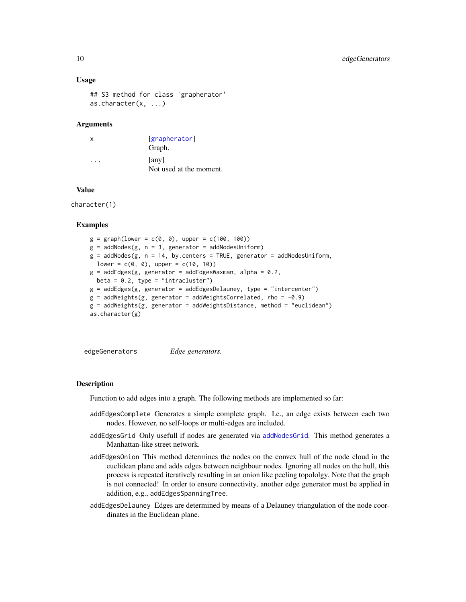## Usage

```
## S3 method for class 'grapherator'
as.character(x, ...)
```
## Arguments

| X | [grapherator]<br>Graph.          |
|---|----------------------------------|
|   | [any]<br>Not used at the moment. |

## Value

character(1)

# **Examples**

```
g = graph(lower = c(0, 0), upper = c(100, 100))g = addNodes(g, n = 3, generator = addNodesUniform)g = addNodes(g, n = 14, by. centers = TRUE, generator = addNodesUniform,lower = c(0, 0), upper = c(10, 10))g = addEdges(g, generator = addEdgesWaxman, alpha = 0.2,beta = 0.2, type = "intracluster")
g = addEdges(g, generator = addEdgesDelauney, type = "intercenter")
g = addWeights(g, generator = addWeightsCorrelated, rho = -0.9)g = addWeights(g, generator = addWeightsDistance, method = "euclidean")
as.character(g)
```
edgeGenerators *Edge generators.*

#### <span id="page-9-1"></span>Description

Function to add edges into a graph. The following methods are implemented so far:

- addEdgesComplete Generates a simple complete graph. I.e., an edge exists between each two nodes. However, no self-loops or multi-edges are included.
- addEdgesGrid Only usefull if nodes are generated via [addNodesGrid](#page-14-1). This method generates a Manhattan-like street network.
- addEdgesOnion This method determines the nodes on the convex hull of the node cloud in the euclidean plane and adds edges between neighbour nodes. Ignoring all nodes on the hull, this process is repeated iteratively resulting in an onion like peeling topololgy. Note that the graph is not connected! In order to ensure connectivity, another edge generator must be applied in addition, e.g., addEdgesSpanningTree.
- addEdgesDelauney Edges are determined by means of a Delauney triangulation of the node coordinates in the Euclidean plane.

<span id="page-9-0"></span>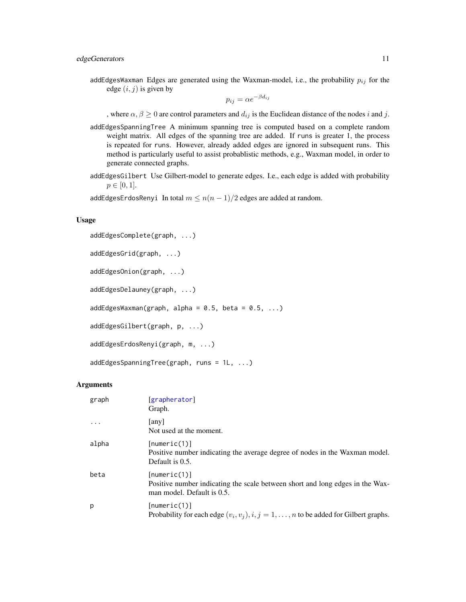<span id="page-10-0"></span>addEdgesWaxman Edges are generated using the Waxman-model, i.e., the probability  $p_{ij}$  for the edge  $(i, j)$  is given by

$$
p_{ij} = \alpha e^{-\beta d_{ij}}
$$

, where  $\alpha, \beta \ge 0$  are control parameters and  $d_{ij}$  is the Euclidean distance of the nodes i and j.

- addEdgesSpanningTree A minimum spanning tree is computed based on a complete random weight matrix. All edges of the spanning tree are added. If runs is greater 1, the process is repeated for runs. However, already added edges are ignored in subsequent runs. This method is particularly useful to assist probablistic methods, e.g., Waxman model, in order to generate connected graphs.
- addEdgesGilbert Use Gilbert-model to generate edges. I.e., each edge is added with probability  $p \in [0, 1].$

addEdgesErdosRenyi In total  $m \leq n(n-1)/2$  edges are added at random.

## Usage

```
addEdgesComplete(graph, ...)
```

```
addEdgesGrid(graph, ...)
```

```
addEdgesOnion(graph, ...)
```
addEdgesDelauney(graph, ...)

 $addEdgesWaxman(graph, alpha = 0.5, beta = 0.5, ...)$ 

```
addEdgesGilbert(graph, p, ...)
```

```
addEdgesErdosRenyi(graph, m, ...)
```

```
addEdgesSpanningTree(graph, runs = 1L, ...)
```

| graph     | [grapherator]<br>Graph.                                                                                                     |
|-----------|-----------------------------------------------------------------------------------------------------------------------------|
| $\ddotsc$ | any<br>Not used at the moment.                                                                                              |
| alpha     | [numeric(1)]<br>Positive number indicating the average degree of nodes in the Waxman model.<br>Default is 0.5.              |
| beta      | [numeric(1)]<br>Positive number indicating the scale between short and long edges in the Wax-<br>man model. Default is 0.5. |
| p         | [numeric(1)]<br>Probability for each edge $(v_i, v_j), i, j = 1, , n$ to be added for Gilbert graphs.                       |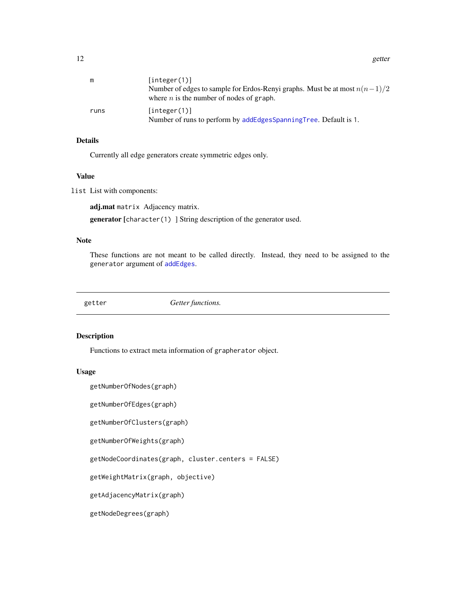<span id="page-11-0"></span>12 getter and the set of the set of the set of the set of the set of the set of the set of the set of the set of the set of the set of the set of the set of the set of the set of the set of the set of the set of the set of

| m    | [interer(1)]<br>Number of edges to sample for Erdos-Renyi graphs. Must be at most $n(n-1)/2$<br>where $n$ is the number of nodes of graph. |
|------|--------------------------------------------------------------------------------------------------------------------------------------------|
| runs | [interer(1)]<br>Number of runs to perform by addEdgesSpanningTree. Default is 1.                                                           |

# Details

Currently all edge generators create symmetric edges only.

## Value

list List with components:

adj.mat matrix Adjacency matrix.

generator [character(1) ] String description of the generator used.

# Note

These functions are not meant to be called directly. Instead, they need to be assigned to the generator argument of [addEdges](#page-1-1).

getter *Getter functions.*

## Description

Functions to extract meta information of grapherator object.

# Usage

```
getNumberOfNodes(graph)
```
getNumberOfEdges(graph)

getNumberOfClusters(graph)

getNumberOfWeights(graph)

getNodeCoordinates(graph, cluster.centers = FALSE)

getWeightMatrix(graph, objective)

getAdjacencyMatrix(graph)

getNodeDegrees(graph)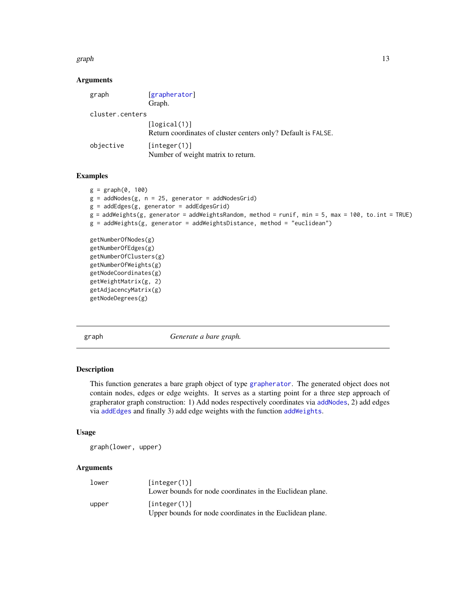#### <span id="page-12-0"></span>graph the contract of the contract of the contract of the contract of the contract of the contract of the contract of the contract of the contract of the contract of the contract of the contract of the contract of the cont

## Arguments

| graph           | [grapherator]                                                 |
|-----------------|---------------------------------------------------------------|
|                 | Graph.                                                        |
| cluster.centers |                                                               |
|                 | [logical(1)]                                                  |
|                 | Return coordinates of cluster centers only? Default is FALSE. |
| objective       | [integer(1)]                                                  |
|                 | Number of weight matrix to return.                            |

# Examples

```
g = graph(0, 100)g = addNodes(g, n = 25, generator = addNodesGrid)g = addEdges(g, generator = addEdgesGrid)g = addWeights(g, generator = addWeightsRandom, method = runif, min = 5, max = 100, to.int = TRUE)
g = addWeights(g, generator = addWeightsDistance, method = "euclidean")getNumberOfNodes(g)
getNumberOfEdges(g)
getNumberOfClusters(g)
getNumberOfWeights(g)
getNodeCoordinates(g)
getWeightMatrix(g, 2)
getAdjacencyMatrix(g)
getNodeDegrees(g)
```
<span id="page-12-1"></span>graph *Generate a bare graph.*

## Description

This function generates a bare graph object of type [grapherator](#page-13-1). The generated object does not contain nodes, edges or edge weights. It serves as a starting point for a three step approach of grapherator graph construction: 1) Add nodes respectively coordinates via [addNodes](#page-4-1), 2) add edges via [addEdges](#page-1-1) and finally 3) add edge weights with the function [addWeights](#page-5-1).

#### Usage

graph(lower, upper)

| lower | [interer(1)]<br>Lower bounds for node coordinates in the Euclidean plane. |
|-------|---------------------------------------------------------------------------|
| upper | [interer(1)]<br>Upper bounds for node coordinates in the Euclidean plane. |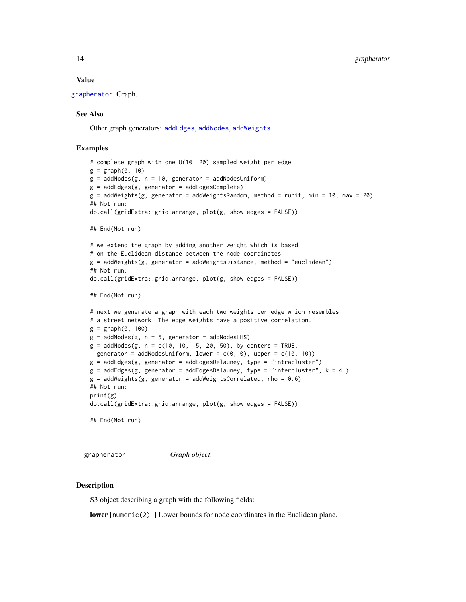#### <span id="page-13-0"></span>Value

[grapherator](#page-13-1) Graph.

## See Also

Other graph generators: [addEdges](#page-1-1), [addNodes](#page-4-1), [addWeights](#page-5-1)

# Examples

```
# complete graph with one U(10, 20) sampled weight per edge
g = graph(0, 10)g = addNodes(g, n = 10, generator = addNodesUniform)g = addEdges(g, generator = addEdgesComplete)
g = addWeights(g, generator = addWeightsRandom, method = runif, min = 10, max = 20)## Not run:
do.call(gridExtra::grid.arrange, plot(g, show.edges = FALSE))
## End(Not run)
# we extend the graph by adding another weight which is based
# on the Euclidean distance between the node coordinates
g = addWeights(g, generator = addWeightSDistance, method = "euclidean")## Not run:
do.call(gridExtra::grid.arrange, plot(g, show.edges = FALSE))
## End(Not run)
# next we generate a graph with each two weights per edge which resembles
# a street network. The edge weights have a positive correlation.
g = graph(0, 100)g = addNodes(g, n = 5, generator = addNodesLHS)g = addNodes(g, n = c(10, 10, 15, 20, 50), by. centers = TRUE,generator = addNodesUniform, lower = c(\theta, \theta), upper = c(1\theta, 1\theta))
g = addEdges(g, generator = addEdgesDelauney, type = "intracluster")
g = addEdges(g, generator = addEdgesDelauney, type = "intercluster", k = 4L)g = addWeights(g, generator = addWeightsCorrected, rho = 0.6)## Not run:
print(g)
do.call(gridExtra::grid.arrange, plot(g, show.edges = FALSE))
## End(Not run)
```
<span id="page-13-1"></span>grapherator *Graph object.*

#### Description

S3 object describing a graph with the following fields:

lower [numeric(2) ] Lower bounds for node coordinates in the Euclidean plane.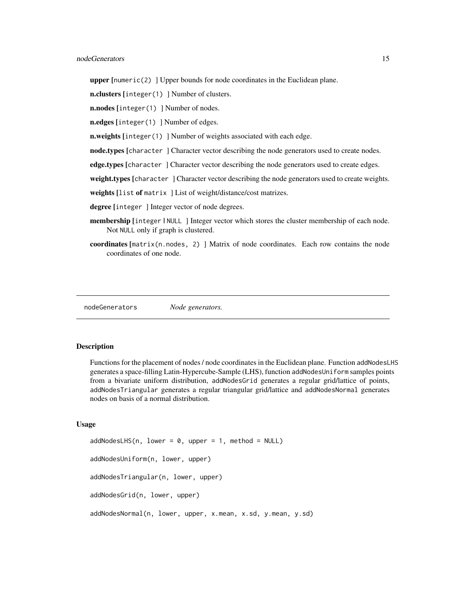<span id="page-14-0"></span>**upper**  $[numeric(2)]$  Upper bounds for node coordinates in the Euclidean plane.

n.clusters [integer(1) ] Number of clusters.

n.nodes [integer(1) ] Number of nodes.

n.edges [integer(1) ] Number of edges.

**n.weights** [integer(1) ] Number of weights associated with each edge.

node.types [character ] Character vector describing the node generators used to create nodes.

edge.types [character] Character vector describing the node generators used to create edges.

weight.types [character ] Character vector describing the node generators used to create weights.

weights [list of matrix ] List of weight/distance/cost matrizes.

degree [integer] Integer vector of node degrees.

- membership [integer | NULL ] Integer vector which stores the cluster membership of each node. Not NULL only if graph is clustered.
- coordinates  $[\text{matrix}(n, nodes, 2)]$  Matrix of node coordinates. Each row contains the node coordinates of one node.

nodeGenerators *Node generators.*

# <span id="page-14-1"></span>**Description**

Functions for the placement of nodes / node coordinates in the Euclidean plane. Function addNodesLHS generates a space-filling Latin-Hypercube-Sample (LHS), function addNodesUniform samples points from a bivariate uniform distribution, addNodesGrid generates a regular grid/lattice of points, addNodesTriangular generates a regular triangular grid/lattice and addNodesNormal generates nodes on basis of a normal distribution.

# Usage

```
addNodesLHS(n, lower = 0, upper = 1, method = NULL)addNodesUniform(n, lower, upper)
addNodesTriangular(n, lower, upper)
addNodesGrid(n, lower, upper)
addNodesNormal(n, lower, upper, x.mean, x.sd, y.mean, y.sd)
```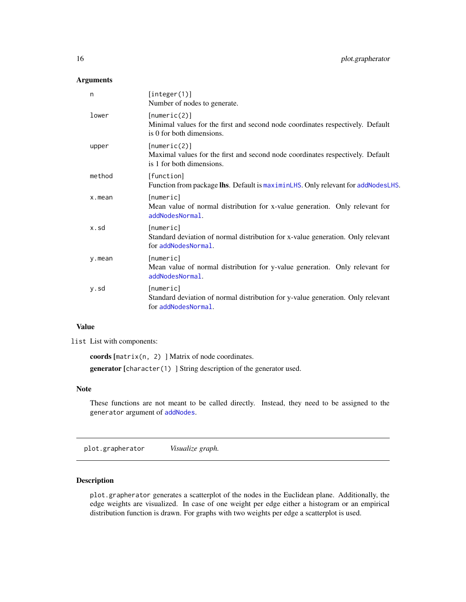# <span id="page-15-0"></span>Arguments

| n      | [integer(1)]<br>Number of nodes to generate.                                                                                |
|--------|-----------------------------------------------------------------------------------------------------------------------------|
| lower  | [numeric(2)]<br>Minimal values for the first and second node coordinates respectively. Default<br>is 0 for both dimensions. |
| upper  | [numeric(2)]<br>Maximal values for the first and second node coordinates respectively. Default<br>is 1 for both dimensions. |
| method | [function]<br>Function from package lhs. Default is maximinLHS. Only relevant for addNodesLHS.                              |
| x.mean | [numeric]<br>Mean value of normal distribution for x-value generation. Only relevant for<br>addNodesNormal.                 |
| x.sd   | [numeric]<br>Standard deviation of normal distribution for x-value generation. Only relevant<br>for addNodesNormal.         |
| y.mean | [numeric]<br>Mean value of normal distribution for y-value generation. Only relevant for<br>addNodesNormal.                 |
| y.sd   | [numeric]<br>Standard deviation of normal distribution for y-value generation. Only relevant<br>for addNodesNormal.         |
|        |                                                                                                                             |

## Value

list List with components:

coords [matrix(n, 2) ] Matrix of node coordinates. generator [character(1) ] String description of the generator used.

# Note

These functions are not meant to be called directly. Instead, they need to be assigned to the generator argument of [addNodes](#page-4-1).

<span id="page-15-1"></span>plot.grapherator *Visualize graph.*

# Description

plot.grapherator generates a scatterplot of the nodes in the Euclidean plane. Additionally, the edge weights are visualized. In case of one weight per edge either a histogram or an empirical distribution function is drawn. For graphs with two weights per edge a scatterplot is used.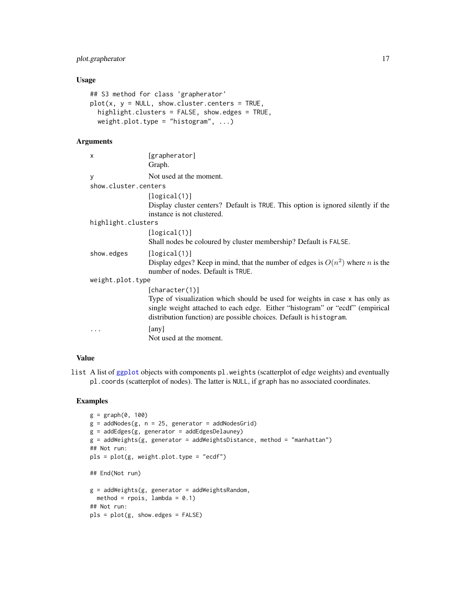# <span id="page-16-0"></span>plot.grapherator 17

# Usage

```
## S3 method for class 'grapherator'
plot(x, y = NULL, show-cluster.centers = TRUE,highlight.clusters = FALSE, show.edges = TRUE,
 weight.plot.type = "histogram", ...)
```
# Arguments

| X                    | [grapherator]<br>Graph.                                                                                                                                                                                                                              |
|----------------------|------------------------------------------------------------------------------------------------------------------------------------------------------------------------------------------------------------------------------------------------------|
| y                    | Not used at the moment.                                                                                                                                                                                                                              |
| show.cluster.centers |                                                                                                                                                                                                                                                      |
|                      | [logical(1)]                                                                                                                                                                                                                                         |
|                      | Display cluster centers? Default is TRUE. This option is ignored silently if the<br>instance is not clustered.                                                                                                                                       |
| highlight.clusters   |                                                                                                                                                                                                                                                      |
|                      | [logical(1)]<br>Shall nodes be coloured by cluster membership? Default is FALSE.                                                                                                                                                                     |
| show.edges           | [logical(1)]<br>Display edges? Keep in mind, that the number of edges is $O(n^2)$ where <i>n</i> is the<br>number of nodes. Default is TRUE.                                                                                                         |
| weight.plot.type     |                                                                                                                                                                                                                                                      |
|                      | [character(1)]<br>Type of visualization which should be used for weights in case x has only as<br>single weight attached to each edge. Either "histogram" or "ecdf" (empirical<br>distribution function) are possible choices. Default is histogram. |
|                      | [any]<br>Not used at the moment.                                                                                                                                                                                                                     |

# Value

list A list of [ggplot](#page-0-0) objects with components pl.weights (scatterplot of edge weights) and eventually pl.coords (scatterplot of nodes). The latter is NULL, if graph has no associated coordinates.

# Examples

```
g = graph(0, 100)g = addNodes(g, n = 25, generator = addNodesGrid)g = addEdges(g, generator = addEdgesDelauney)
g = addWeights(g, generator = addWeightsDistance, method = "manhattan")## Not run:
pls = plot(g, weight.plot.type = "ecdf")
## End(Not run)
g = addWeights(g, generator = addWeightsRandom,method = rpois, lambda = 0.1)
## Not run:
pls = plot(g, show.edges = FALSE)
```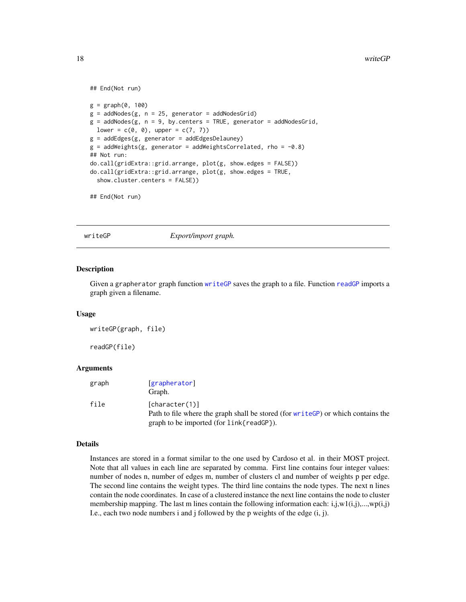```
## End(Not run)
```

```
g = graph(0, 100)g = addNodes(g, n = 25, generator = addNodesGrid)g = addNodes(g, n = 9, by.centers = TRUE, generator = addNodesGrid,lower = c(0, 0), upper = c(7, 7))g = addEdges(g, generator = addEdgesDelauney)g = addWeights(g, generator = addWeightsCorrelated, rho = -0.8)## Not run:
do.call(gridExtra::grid.arrange, plot(g, show.edges = FALSE))
do.call(gridExtra::grid.arrange, plot(g, show.edges = TRUE,
 show.cluster.centers = FALSE))
```

```
## End(Not run)
```
<span id="page-17-1"></span>

writeGP *Export/import graph.*

#### <span id="page-17-2"></span>Description

Given a grapherator graph function [writeGP](#page-17-1) saves the graph to a file. Function [readGP](#page-17-2) imports a graph given a filename.

#### Usage

writeGP(graph, file)

readGP(file)

# **Arguments**

| graph | [grapherator]<br>Graph.                                                                                                                         |
|-------|-------------------------------------------------------------------------------------------------------------------------------------------------|
| file  | [character(1)]<br>Path to file where the graph shall be stored (for write GP) or which contains the<br>graph to be imported (for link{readGP}). |

#### Details

Instances are stored in a format similar to the one used by Cardoso et al. in their MOST project. Note that all values in each line are separated by comma. First line contains four integer values: number of nodes n, number of edges m, number of clusters cl and number of weights p per edge. The second line contains the weight types. The third line contains the node types. The next n lines contain the node coordinates. In case of a clustered instance the next line contains the node to cluster membership mapping. The last m lines contain the following information each:  $i, j, w1(i,j),...,wp(i,j)$ I.e., each two node numbers i and j followed by the p weights of the edge (i, j).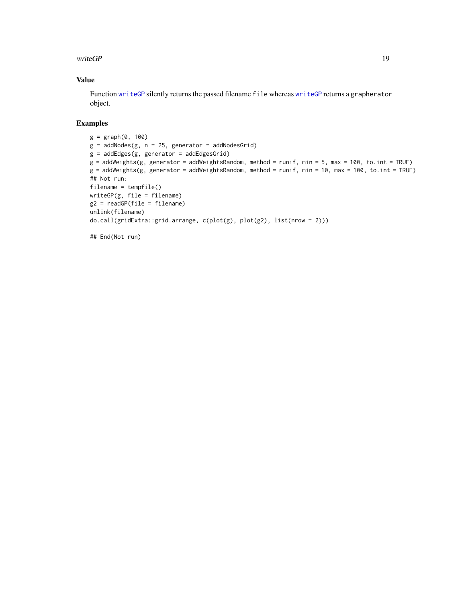## <span id="page-18-0"></span>writeGP 19

# Value

Function [writeGP](#page-17-1) silently returns the passed filename file whereas [writeGP](#page-17-1) returns a grapherator object.

# Examples

```
g = graph(0, 100)g = addNodes(g, n = 25, generator = addNodesGrid)g = addEdges(g, generator = addEdgesGrid)g = addWeights(g, generator = addWeightsRandom, method = runif, min = 5, max = 100, to.int = TRUE)
g = addWeights(g, generator = addWeightsRandom, method = runif, min = 10, max = 100, to.int = TRUE)
## Not run:
filename = tempfile()
writeGP(g, file = filename)
g2 = readGP(file = filename)
unlink(filename)
do.call(gridExtra::grid.arrange, c(plot(g), plot(g2), list(nrow = 2)))
```
## End(Not run)